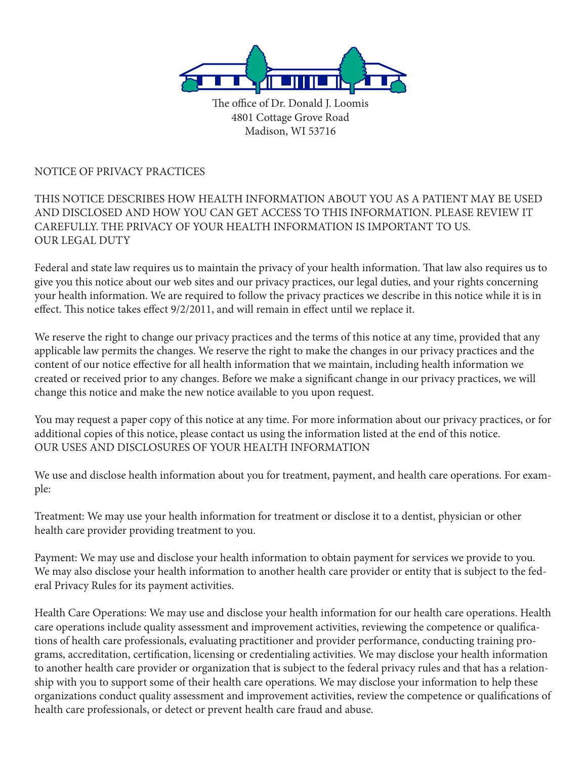

The office of Dr. Donald J. Loomis 4801 Cottage Grove Road Madison, WI 53716

NOTICE OF PRIVACY PRACTICES

## THIS NOTICE DESCRIBES HOW HEALTH INFORMATION ABOUT YOU AS A PATIENT MAY BE USED AND DISCLOSED AND HOW YOU CAN GET ACCESS TO THIS INFORMATION. PLEASE REVIEW IT CAREFULLY. THE PRIVACY OF YOUR HEALTH INFORMATION IS IMPORTANT TO US. OUR LEGAL DUTY

Federal and state law requires us to maintain the privacy of your health information. That law also requires us to give you this notice about our web sites and our privacy practices, our legal duties, and your rights concerning your health information. We are required to follow the privacy practices we describe in this notice while it is in effect. This notice takes effect 9/2/2011, and will remain in effect until we replace it.

We reserve the right to change our privacy practices and the terms of this notice at any time, provided that any applicable law permits the changes. We reserve the right to make the changes in our privacy practices and the content of our notice effective for all health information that we maintain, including health information we created or received prior to any changes. Before we make a significant change in our privacy practices, we will change this notice and make the new notice available to you upon request.

You may request a paper copy of this notice at any time. For more information about our privacy practices, or for additional copies of this notice, please contact us using the information listed at the end of this notice. OUR USES AND DISCLOSURES OF YOUR HEALTH INFORMATION

We use and disclose health information about you for treatment, payment, and health care operations. For example:

Treatment: We may use your health information for treatment or disclose it to a dentist, physician or other health care provider providing treatment to you.

Payment: We may use and disclose your health information to obtain payment for services we provide to you. We may also disclose your health information to another health care provider or entity that is subject to the federal Privacy Rules for its payment activities.

Health Care Operations: We may use and disclose your health information for our health care operations. Health care operations include quality assessment and improvement activities, reviewing the competence or qualifications of health care professionals, evaluating practitioner and provider performance, conducting training programs, accreditation, certification, licensing or credentialing activities. We may disclose your health information to another health care provider or organization that is subject to the federal privacy rules and that has a relationship with you to support some of their health care operations. We may disclose your information to help these organizations conduct quality assessment and improvement activities, review the competence or qualifications of health care professionals, or detect or prevent health care fraud and abuse.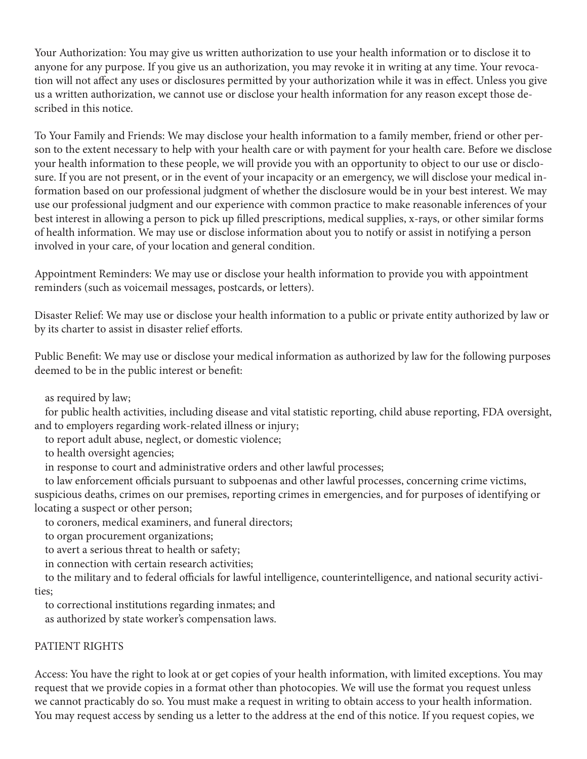Your Authorization: You may give us written authorization to use your health information or to disclose it to anyone for any purpose. If you give us an authorization, you may revoke it in writing at any time. Your revocation will not affect any uses or disclosures permitted by your authorization while it was in effect. Unless you give us a written authorization, we cannot use or disclose your health information for any reason except those described in this notice.

To Your Family and Friends: We may disclose your health information to a family member, friend or other person to the extent necessary to help with your health care or with payment for your health care. Before we disclose your health information to these people, we will provide you with an opportunity to object to our use or disclosure. If you are not present, or in the event of your incapacity or an emergency, we will disclose your medical information based on our professional judgment of whether the disclosure would be in your best interest. We may use our professional judgment and our experience with common practice to make reasonable inferences of your best interest in allowing a person to pick up filled prescriptions, medical supplies, x-rays, or other similar forms of health information. We may use or disclose information about you to notify or assist in notifying a person involved in your care, of your location and general condition.

Appointment Reminders: We may use or disclose your health information to provide you with appointment reminders (such as voicemail messages, postcards, or letters).

Disaster Relief: We may use or disclose your health information to a public or private entity authorized by law or by its charter to assist in disaster relief efforts.

Public Benefit: We may use or disclose your medical information as authorized by law for the following purposes deemed to be in the public interest or benefit:

as required by law;

 for public health activities, including disease and vital statistic reporting, child abuse reporting, FDA oversight, and to employers regarding work-related illness or injury;

to report adult abuse, neglect, or domestic violence;

to health oversight agencies;

in response to court and administrative orders and other lawful processes;

 to law enforcement officials pursuant to subpoenas and other lawful processes, concerning crime victims, suspicious deaths, crimes on our premises, reporting crimes in emergencies, and for purposes of identifying or locating a suspect or other person;

to coroners, medical examiners, and funeral directors;

to organ procurement organizations;

to avert a serious threat to health or safety;

in connection with certain research activities;

 to the military and to federal officials for lawful intelligence, counterintelligence, and national security activities;

to correctional institutions regarding inmates; and

as authorized by state worker's compensation laws.

## PATIENT RIGHTS

Access: You have the right to look at or get copies of your health information, with limited exceptions. You may request that we provide copies in a format other than photocopies. We will use the format you request unless we cannot practicably do so. You must make a request in writing to obtain access to your health information. You may request access by sending us a letter to the address at the end of this notice. If you request copies, we